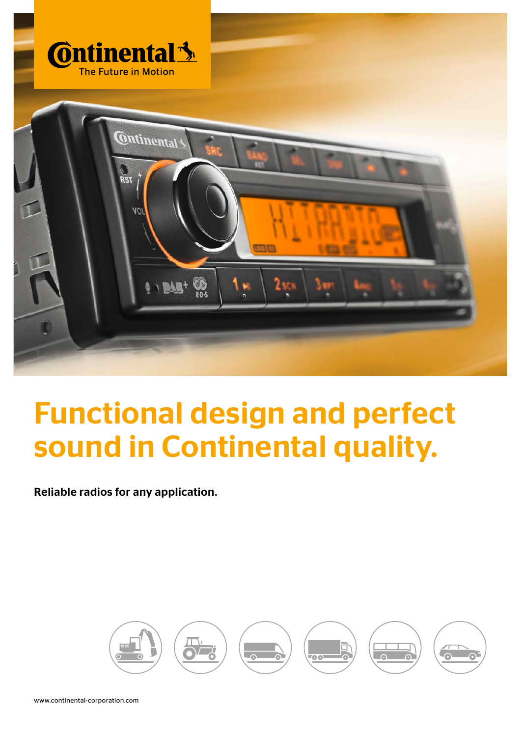

# Functional design and perfect sound in Continental quality.

Reliable radios for any application.

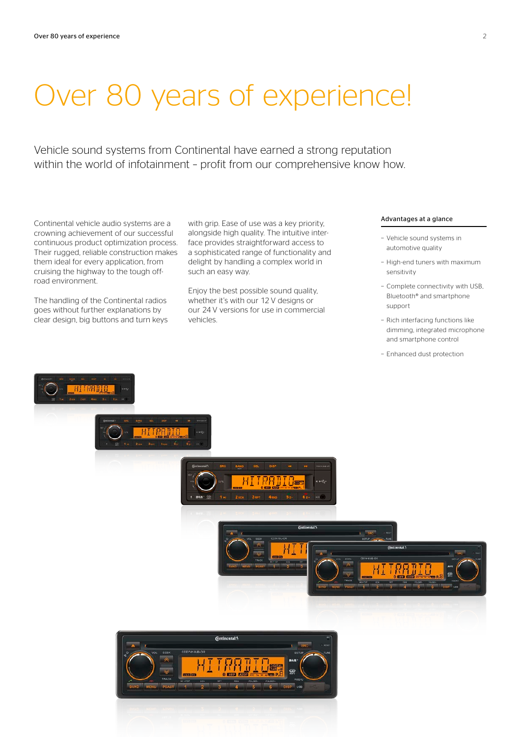# Over 80 years of experience!

Vehicle sound systems from Continental have earned a strong reputation within the world of infotainment – profit from our comprehensive know how.

Continental vehicle audio systems are a crowning achievement of our successful continuous product optimization process. Their rugged, reliable construction makes them ideal for every application, from cruising the highway to the tough offroad environment.

The handling of the Continental radios goes without further explanations by clear design, big buttons and turn keys with grip. Ease of use was a key priority, alongside high quality. The intuitive interface provides straightforward access to a sophisticated range of functionality and delight by handling a complex world in such an easy way.

Enjoy the best possible sound quality, whether it's with our 12 V designs or our 24 V versions for use in commercial vehicles.

### Advantages at a glance

- − Vehicle sound systems in automotive quality
- − High-end tuners with maximum sensitivity
- − Complete connectivity with USB, Bluetooth® and smartphone support
- − Rich interfacing functions like dimming, integrated microphone and smartphone control
- − Enhanced dust protection

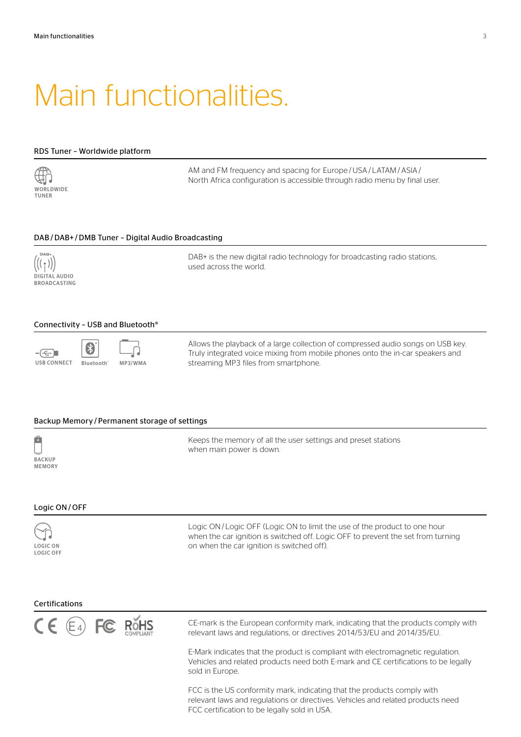# Main functionalities.

### RDS Tuner – Worldwide platform



AM and FM frequency and spacing for Europe /USA / LATAM / ASIA / North Africa configuration is accessible through radio menu by final user.

### DAB /DAB+ /DMB Tuner – Digital Audio Broadcasting



DAB+ is the new digital radio technology for broadcasting radio stations, used across the world.

### Connectivity – USB and Bluetooth®



Allows the playback of a large collection of compressed audio songs on USB key. Truly integrated voice mixing from mobile phones onto the in-car speakers and streaming MP3 files from smartphone.

### Backup Memory / Permanent storage of settings



Keeps the memory of all the user settings and preset stations when main power is down.

### Logic ON/ OFF

LOGIC ON LOGIC OFF Logic ON/ Logic OFF (Logic ON to limit the use of the product to one hour when the car ignition is switched off. Logic OFF to prevent the set from turning on when the car ignition is switched off).

#### Certifications



CE-mark is the European conformity mark, indicating that the products comply with relevant laws and regulations, or directives 2014/53/EU and 2014/35/EU.

E-Mark indicates that the product is compliant with electromagnetic regulation. Vehicles and related products need both E-mark and CE certifications to be legally sold in Europe.

FCC is the US conformity mark, indicating that the products comply with relevant laws and regulations or directives. Vehicles and related products need FCC certification to be legally sold in USA.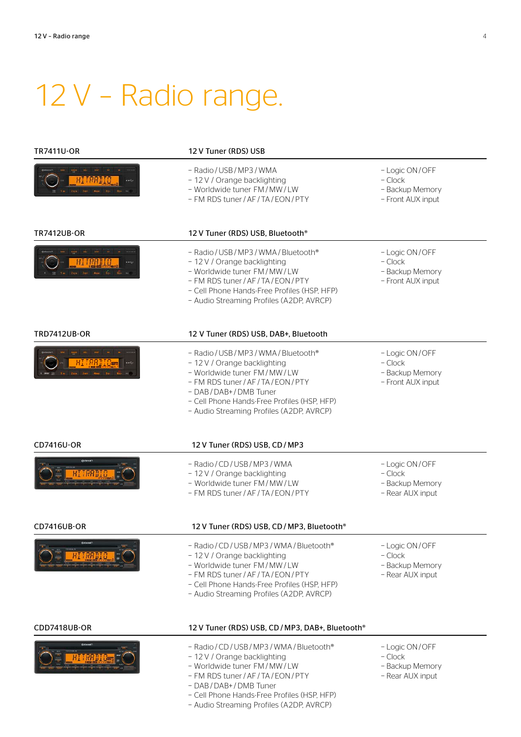# 12 V – Radio range.

| <b>TR7411U-OR</b>   | 12 V Tuner (RDS) USB                                                                                                                                                                                                                                                     |                                                                     |
|---------------------|--------------------------------------------------------------------------------------------------------------------------------------------------------------------------------------------------------------------------------------------------------------------------|---------------------------------------------------------------------|
|                     | - Radio / USB / MP3 / WMA<br>- 12 V / Orange backlighting<br>- Worldwide tuner FM/MW/LW<br>- FM RDS tuner / AF / TA / EON / PTY                                                                                                                                          | - Logic ON/OFF<br>- Clock<br>- Backup Memory<br>- Front AUX input   |
| <b>TR7412UB-OR</b>  | 12 V Tuner (RDS) USB, Bluetooth®                                                                                                                                                                                                                                         |                                                                     |
| Tape Terr Age To-   | - Radio / USB / MP3 / WMA / Bluetooth®<br>- 12 V / Orange backlighting<br>- Worldwide tuner FM/MW/LW<br>- FM RDS tuner / AF / TA / EON / PTY<br>- Cell Phone Hands-Free Profiles (HSP, HFP)<br>- Audio Streaming Profiles (A2DP, AVRCP)                                  | - Logic ON/OFF<br>$-Clock$<br>- Backup Memory<br>- Front AUX input  |
| <b>TRD7412UB-OR</b> | 12 V Tuner (RDS) USB, DAB+, Bluetooth                                                                                                                                                                                                                                    |                                                                     |
| Sart Assn. So., Sa. | - Radio / USB / MP3 / WMA / Bluetooth®<br>- 12 V / Orange backlighting<br>- Worldwide tuner FM / MW / LW<br>- FM RDS tuner / AF / TA / EON / PTY<br>- DAB / DAB+ / DMB Tuner<br>- Cell Phone Hands-Free Profiles (HSP, HFP)<br>- Audio Streaming Profiles (A2DP, AVRCP)  | - Logic ON/OFF<br>$-$ Clock<br>- Backup Memory<br>- Front AUX input |
| CD7416U-OR          | 12 V Tuner (RDS) USB, CD / MP3                                                                                                                                                                                                                                           |                                                                     |
|                     | - Radio / CD / USB / MP3 / WMA<br>- 12 V / Orange backlighting<br>- Worldwide tuner FM/MW/LW<br>- FM RDS tuner / AF / TA / EON / PTY                                                                                                                                     | - Logic ON/OFF<br>$-$ Clock<br>- Backup Memory<br>- Rear AUX input  |
| <b>CD7416UB-OR</b>  | 12 V Tuner (RDS) USB, CD / MP3, Bluetooth®                                                                                                                                                                                                                               |                                                                     |
|                     | - Radio / CD / USB / MP3 / WMA / Bluetooth®<br>- 12 V / Orange backlighting<br>- Worldwide tuner FM/MW/LW<br>- FM RDS tuner / AF / TA / EON / PTY<br>- Cell Phone Hands-Free Profiles (HSP, HFP)<br>- Audio Streaming Profiles (A2DP, AVRCP)                             | - Logic ON/OFF<br>$-$ Clock<br>- Backup Memory<br>- Rear AUX input  |
| CDD7418UB-OR        | 12 V Tuner (RDS) USB, CD / MP3, DAB+, Bluetooth®                                                                                                                                                                                                                         |                                                                     |
|                     | - Radio / CD / USB / MP3 / WMA / Bluetooth®<br>- 12 V / Orange backlighting<br>- Worldwide tuner FM/MW/LW<br>- FM RDS tuner / AF / TA / EON / PTY<br>- DAB / DAB+ / DMB Tuner<br>- Cell Phone Hands-Free Profiles (HSP, HFP)<br>- Audio Streaming Profiles (A2DP, AVRCP) | - Logic ON/OFF<br>$-$ Clock<br>- Backup Memory<br>- Rear AUX input  |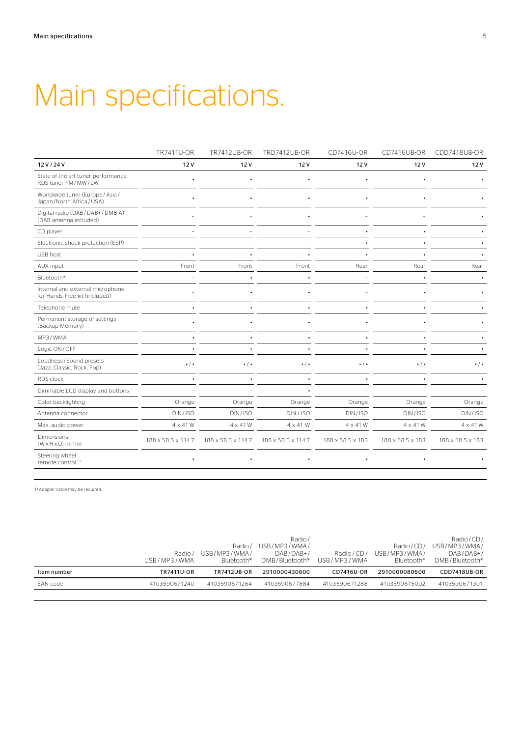# Main specifications.

|                                                                   | TR7411U-OR         | TR7412UB-OR        | <b>TRD7412UB-OR</b> | CD7416U-OR        | CD7416UB-OR       | CDD7418UB-OR      |
|-------------------------------------------------------------------|--------------------|--------------------|---------------------|-------------------|-------------------|-------------------|
| 12 V / 24 V                                                       | 12V                | 12V                | 12V                 | 12V               | 12V               | 12V               |
| State of the art tuner performance:<br>RDS tuner FM/MW/LW         |                    |                    |                     |                   |                   |                   |
| Worldwide tuner (Europe / Asia /<br>Japan/North Africa/USA)       |                    |                    |                     |                   |                   |                   |
| Digital radio (DAB / DAB+ / DMB-A)<br>(DAB antenna included)      |                    |                    |                     |                   |                   |                   |
| CD player                                                         |                    |                    |                     |                   |                   |                   |
| Electronic shock protection (ESP)                                 |                    |                    |                     |                   |                   |                   |
| USB host                                                          |                    |                    |                     |                   |                   |                   |
| AUX input                                                         | Front              | Front              | Front               | Rear              | Rear              | Rear              |
| Bluetooth <sup>®</sup>                                            |                    |                    |                     |                   |                   |                   |
| Internal and external microphone<br>for Hands-Free kit (included) |                    |                    |                     |                   |                   |                   |
| Telephone mute                                                    |                    |                    |                     |                   |                   |                   |
| Permanent storage of settings<br>(Backup Memory)                  |                    |                    |                     |                   |                   |                   |
| MP3/WMA                                                           |                    |                    |                     |                   |                   |                   |
| Logic ON/OFF                                                      |                    |                    |                     |                   |                   |                   |
| Loudness/Sound presets<br>(Jazz, Classic, Rock, Pop)              | $\cdot$ / $\cdot$  | $\cdot$ / $\cdot$  | $\cdot$ / $\cdot$   | $\cdot$ / $\cdot$ | $\cdot$ / $\cdot$ | $\cdot$ / $\cdot$ |
| RDS clock                                                         |                    |                    |                     |                   |                   |                   |
| Dimmable LCD display and buttons                                  |                    |                    |                     |                   |                   |                   |
| Color backlighting                                                | Orange             | Orange             | Orange              | Orange            | Orange            | Orange            |
| Antenna connector                                                 | DIN/ISO            | DIN/ISO            | DIN / ISO           | DIN/ISO           | DIN/ISO           | DIN/ISO           |
| Max. audio power                                                  | 4 x 41 W           | $4 \times 41$ W    | $4 \times 41$ W     | 4 x 41 W          | $4 \times 41$ W   | 4 x 41 W          |
| Dimensions<br>$(W \times H \times D)$ in mm                       | 188 x 58.5 x 114.7 | 188 x 58.5 x 114.7 | 188 x 58.5 x 114,7  | 188 x 58.5 x 183  | 188 x 58.5 x 183  | 188 x 58.5 x 183  |
| Steering wheel<br>remote control <sup>1)</sup>                    |                    |                    |                     |                   |                   |                   |

1) Adapter cable may be required.

|             | Radio/        | Radio/<br>USB/MP3/WMA/ | Radio/<br>USB/MP3/WMA/<br>DAB/DAB+/ | Radio/CD/     | Radio/CD/<br>USB/MP3/WMA/ | Radio/CD/<br>USB/MP3/WMA/<br>$DAB/DAB+/-$ |
|-------------|---------------|------------------------|-------------------------------------|---------------|---------------------------|-------------------------------------------|
|             | USB/MP3/WMA   | Bluetooth <sup>®</sup> | DMB/Bluetooth®                      | USB/MP3/WMA   | Bluetooth®                | DMB/Bluetooth <sup>®</sup>                |
| Item number | TR7411U-OR    | <b>TR7412UB-OR</b>     | 2910000430600                       | CD7416U-OR    | 2910000080600             | CDD7418UB-OR                              |
|             |               |                        |                                     |               |                           |                                           |
| EAN code    | 4103590671240 | 4103590671264          | 4103590677884                       | 4103590671288 | 4103590675002             | 4103590671301                             |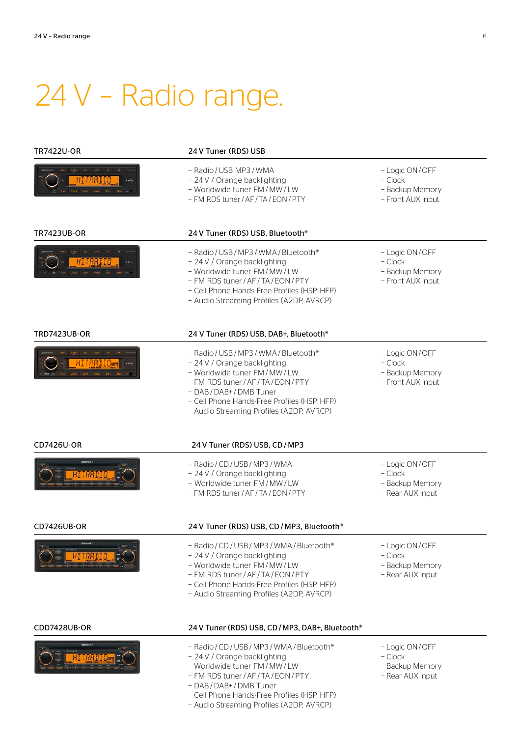# 24 V – Radio range.

| <b>TR7422U-OR</b>                          | 24 V Tuner (RDS) USB                                                                                                                                                                                                                                                     |                                                                     |
|--------------------------------------------|--------------------------------------------------------------------------------------------------------------------------------------------------------------------------------------------------------------------------------------------------------------------------|---------------------------------------------------------------------|
|                                            | - Radio / USB MP3 / WMA<br>- 24 V / Orange backlighting<br>- Worldwide tuner FM/MW/LW<br>- FM RDS tuner / AF / TA / EON / PTY                                                                                                                                            | - Logic ON/OFF<br>$-Clock$<br>- Backup Memory<br>- Front AUX input  |
| <b>TR7423UB-OR</b>                         | 24 V Tuner (RDS) USB, Bluetooth®                                                                                                                                                                                                                                         |                                                                     |
|                                            | - Radio / USB / MP3 / WMA / Bluetooth®<br>- 24 V / Orange backlighting<br>- Worldwide tuner FM / MW / LW<br>- FM RDS tuner / AF / TA / EON / PTY<br>- Cell Phone Hands-Free Profiles (HSP, HFP)<br>- Audio Streaming Profiles (A2DP, AVRCP)                              | - Logic ON/OFF<br>$-$ Clock<br>- Backup Memory<br>- Front AUX input |
| <b>TRD7423UB-OR</b>                        | 24 V Tuner (RDS) USB, DAB+, Bluetooth <sup>®</sup>                                                                                                                                                                                                                       |                                                                     |
| HIIRRDIG <sub>wa</sub><br>2m 3m 4m 5s 6s - | - Radio / USB / MP3 / WMA / Bluetooth®<br>- 24 V / Orange backlighting<br>- Worldwide tuner FM/MW/LW<br>- FM RDS tuner / AF / TA / EON / PTY<br>- DAB / DAB+ / DMB Tuner<br>- Cell Phone Hands-Free Profiles (HSP, HFP)<br>- Audio Streaming Profiles (A2DP, AVRCP)      | - Logic ON/OFF<br>$-$ Clock<br>- Backup Memory<br>- Front AUX input |
| CD7426U-OR                                 | 24 V Tuner (RDS) USB, CD / MP3                                                                                                                                                                                                                                           |                                                                     |
|                                            | - Radio / CD / USB / MP3 / WMA<br>- 24 V / Orange backlighting<br>- Worldwide tuner FM/MW/LW<br>- FM RDS tuner / AF / TA / EON / PTY                                                                                                                                     | - Logic ON/OFF<br>$-$ Clock<br>- Backup Memory<br>- Rear AUX input  |
| <b>CD7426UB-OR</b>                         | 24 V Tuner (RDS) USB, CD / MP3, Bluetooth®                                                                                                                                                                                                                               |                                                                     |
|                                            | - Radio / CD / USB / MP3 / WMA / Bluetooth®<br>- 24 V / Orange backlighting<br>- Worldwide tuner FM/MW/LW<br>- FM RDS tuner / AF / TA / EON / PTY<br>- Cell Phone Hands-Free Profiles (HSP, HFP)<br>- Audio Streaming Profiles (A2DP, AVRCP)                             | - Logic ON/OFF<br>- Clock<br>- Backup Memory<br>- Rear AUX input    |
| CDD7428UB-OR                               | 24 V Tuner (RDS) USB, CD / MP3, DAB+, Bluetooth®                                                                                                                                                                                                                         |                                                                     |
| 1   1234 11 11 11 11 11 11                 | - Radio / CD / USB / MP3 / WMA / Bluetooth®<br>- 24 V / Orange backlighting<br>- Worldwide tuner FM/MW/LW<br>- FM RDS tuner / AF / TA / EON / PTY<br>- DAB / DAB+ / DMB Tuner<br>- Cell Phone Hands-Free Profiles (HSP, HFP)<br>- Audio Streaming Profiles (A2DP, AVRCP) | - Logic ON/OFF<br>$-$ Clock<br>- Backup Memory<br>- Rear AUX input  |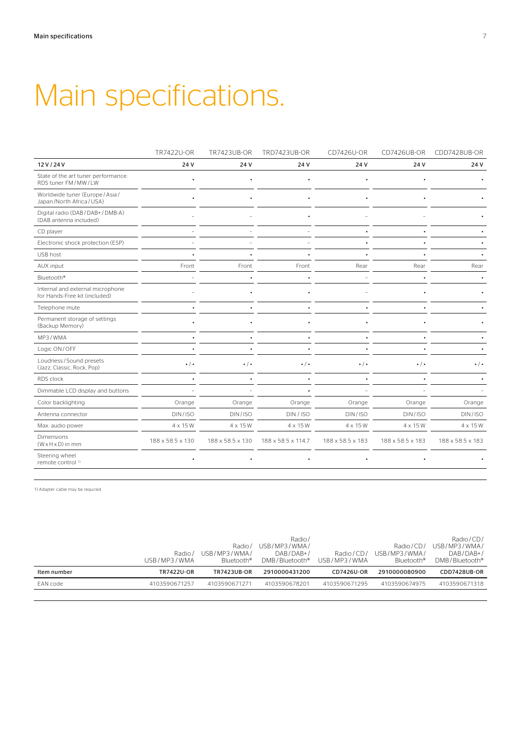# Main specifications.

|                                                                   | TR7422U-OR        | <b>TR7423UB-OR</b> | <b>TRD7423UB-OR</b> | CD7426U-OR        | CD7426UB-OR       | CDD7428UB-OR      |
|-------------------------------------------------------------------|-------------------|--------------------|---------------------|-------------------|-------------------|-------------------|
| 12 V / 24 V                                                       | 24 V              | 24 V               | 24 V                | 24 V              | 24 V              | 24 V              |
| State of the art tuner performance:<br>RDS tuner FM/MW/LW         |                   |                    |                     |                   |                   |                   |
| Worldwide tuner (Europe / Asia /<br>Japan/North Africa/USA)       |                   |                    |                     |                   |                   |                   |
| Digital radio (DAB / DAB+ / DMB-A)<br>(DAB antenna included)      |                   |                    |                     |                   |                   |                   |
| CD player                                                         |                   |                    |                     |                   |                   |                   |
| Electronic shock protection (ESP)                                 |                   |                    |                     |                   |                   |                   |
| USB host                                                          |                   |                    |                     |                   |                   |                   |
| AUX input                                                         | Front             | Front              | Front               | Rear              | Rear              | Rear              |
| Bluetooth <sup>®</sup>                                            |                   |                    |                     |                   |                   |                   |
| Internal and external microphone<br>for Hands-Free kit (included) |                   |                    |                     |                   |                   |                   |
| Telephone mute                                                    |                   |                    |                     |                   |                   |                   |
| Permanent storage of settings<br>(Backup Memory)                  |                   |                    |                     |                   |                   |                   |
| MP3/WMA                                                           |                   |                    |                     |                   |                   |                   |
| Logic ON/OFF                                                      |                   |                    |                     |                   |                   |                   |
| Loudness / Sound presets<br>(Jazz, Classic, Rock, Pop)            | $\cdot$ / $\cdot$ | $\cdot$ / $\cdot$  | $\cdot$ / $\cdot$   | $\cdot$ / $\cdot$ | $\cdot$ / $\cdot$ | $\cdot$ / $\cdot$ |
| RDS clock                                                         |                   |                    |                     |                   |                   |                   |
| Dimmable LCD display and buttons                                  |                   |                    |                     |                   |                   |                   |
| Color backlighting                                                | Orange            | Orange             | Orange              | Orange            | Orange            | Orange            |
| Antenna connector                                                 | DIN/ISO           | DIN/ISO            | DIN/ISO             | DIN/ISO           | DIN/ISO           | DIN/ISO           |
| Max. audio power                                                  | 4 x 15 W          | 4 x 15 W           | 4 x 15 W            | 4 x 15 W          | 4 x 15 W          | 4 x 15 W          |
| <b>Dimensions</b><br>$(W \times H \times D)$ in mm                | 188 x 58.5 x 130  | 188 x 58.5 x 130   | 188 x 58.5 x 114,7  | 188 x 58.5 x 183  | 188 x 58.5 x 183  | 188 x 58.5 x 183  |
| Steering wheel<br>remote control <sup>1)</sup>                    |                   |                    |                     |                   |                   |                   |

1) Adapter cable may be required.

|             |                   |                    | Radio/                     |               |                        | Radio/CD/                  |
|-------------|-------------------|--------------------|----------------------------|---------------|------------------------|----------------------------|
|             |                   | Radio/             | USB/MP3/WMA/               |               | Radio/CD/              | USB/MP3/WMA/               |
|             | Radio/            | USB/MP3/WMA/       | $DAB/DAB+/-$               | Radio/CD/     | USB/MP3/WMA/           | $DAB/DAB+$                 |
|             | USB/MP3/WMA       | Bluetooth®         | DMB/Bluetooth <sup>®</sup> | USB/MP3/WMA   | Bluetooth <sup>®</sup> | DMB/Bluetooth <sup>®</sup> |
|             |                   |                    |                            |               |                        |                            |
| Item number | <b>TR7422U-OR</b> | <b>TR7423UB-OR</b> | 2910000431200              | CD7426U-OR    | 2910000080900          | CDD7428UB-OR               |
| EAN code    | 4103590671257     | 4103590671271      | 4103590678201              | 4103590671295 | 4103590674975          | 4103590671318              |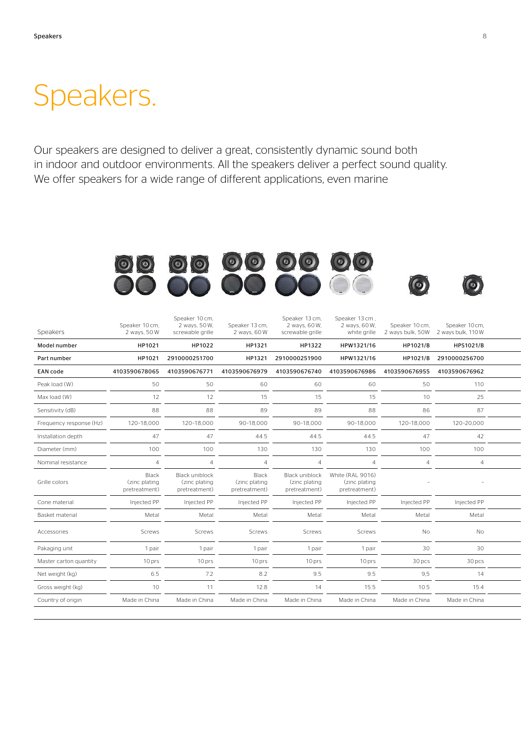### Speakers.

Our speakers are designed to deliver a great, consistently dynamic sound both in indoor and outdoor environments. All the speakers deliver a perfect sound quality. We offer speakers for a wide range of different applications, even marine

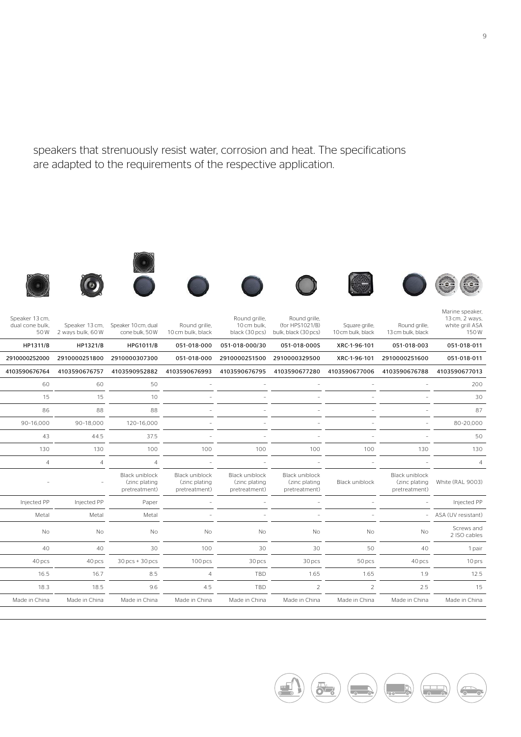speakers that strenuously resist water, corrosion and heat. The specifications are adapted to the requirements of the respective application.





















| Marine speaker,<br>13 cm, 2 ways,<br>white grill ASA<br>150W | Round grille,<br>13 cm bulk, black                                | Square grille,<br>10 cm bulk, black | Round grille,<br>(for HPS1021/B)<br>bulk, black (30 pcs) | Round grille,<br>10 cm bulk,<br>black (30 pcs)                            | Round grille,<br>10 cm bulk, black               | Speaker 13 cm, Speaker 10 cm, dual<br>cone bulk, 50W    | 50W 2 ways bulk, 60W | Speaker 13 cm,<br>dual cone bulk, |
|--------------------------------------------------------------|-------------------------------------------------------------------|-------------------------------------|----------------------------------------------------------|---------------------------------------------------------------------------|--------------------------------------------------|---------------------------------------------------------|----------------------|-----------------------------------|
| 051-018-011                                                  | 051-018-003                                                       | XRC-1-96-101                        | 051-018-000S                                             | 051-018-000 051-018-000/30                                                |                                                  | <b>HPG1011/B</b>                                        | HP1321/B             | HP1311/B                          |
| 051-018-011                                                  | XRC-1-96-101 2910000251600                                        |                                     | 2910000329500                                            | 2910000251500                                                             | 051-018-000                                      | 2910000251800 2910000307300                             |                      | 2910000252000                     |
|                                                              |                                                                   |                                     |                                                          | 4103590676795  4103590677280  4103590677006  4103590676788  4103590677013 |                                                  | 4103590676764 4103590676757 4103590952882 4103590676993 |                      |                                   |
|                                                              | <b>COLLEGE</b>                                                    | $\sim$                              | $\sim$                                                   | $\sim$                                                                    |                                                  | 50                                                      | 60                   | 60                                |
|                                                              |                                                                   |                                     |                                                          |                                                                           |                                                  | 10                                                      | 15                   | 15                                |
|                                                              |                                                                   | $\sim$                              |                                                          |                                                                           |                                                  | 88                                                      | 88                   | 86                                |
| 80-20,000                                                    | $\overline{\phantom{a}}$                                          |                                     |                                                          |                                                                           |                                                  | 120-16,000                                              | 90-18,000            | 90-16,000                         |
|                                                              |                                                                   |                                     |                                                          |                                                                           |                                                  | 37.5                                                    | 44.5                 | 43                                |
|                                                              | 130                                                               | 100                                 | 100                                                      | 100                                                                       | 100                                              | 100                                                     | 130                  | 130                               |
|                                                              | $\sim$                                                            | $\sim$                              | $\overline{\phantom{a}}$                                 |                                                                           | $\sim$                                           |                                                         | $\overline{4}$       | $\overline{4}$                    |
|                                                              | Black uniblock<br>(zinc plating White (RAL 9003)<br>pretreatment) | Black uniblock                      | Black uniblock<br>(zinc plating<br>pretreatment)         | Black uniblock<br>(zinc plating<br>pretreatment)                          | Black uniblock<br>(zinc plating<br>pretreatment) | Black uniblock<br>(zinc plating<br>pretreatment)        | $\sim$               |                                   |
| Injected PP                                                  |                                                                   |                                     |                                                          |                                                                           |                                                  | Paper                                                   | Injected PP          | Injected PP                       |
| - ASA (UV resistant)                                         |                                                                   |                                     |                                                          |                                                                           |                                                  | Metal                                                   | Metal                | Metal                             |
| Screws and<br>2 ISO cables                                   | No                                                                | No                                  | No                                                       | <b>No</b>                                                                 | No                                               | No.                                                     | No                   | No                                |
|                                                              | 40                                                                | 50                                  | 30                                                       | 30                                                                        | 100                                              | 30                                                      | 40                   | 40                                |
|                                                              | 40 pcs                                                            | 50 pcs                              | 30 pcs                                                   | 30 pcs                                                                    | 100 <sub>pcs</sub>                               | $30 pcs + 30 pcs$                                       | 40 pcs               | 40 pcs                            |
|                                                              | 1.9                                                               | 1.65                                | 1.65                                                     | TBD                                                                       | $\Delta$                                         | 8.5                                                     | 16.7                 | 16.5                              |
|                                                              | 2.5                                                               | $\overline{z}$                      | $\overline{2}$                                           | TBD                                                                       | 4.5                                              | 9.6                                                     | 18.5                 | 18.3                              |
| Made in China                                                | Made in China                                                     | Made in China                       | Made in China                                            | Made in China                                                             | Made in China                                    | Made in China                                           | Made in China        | Made in China                     |
|                                                              |                                                                   |                                     |                                                          |                                                                           |                                                  |                                                         |                      |                                   |

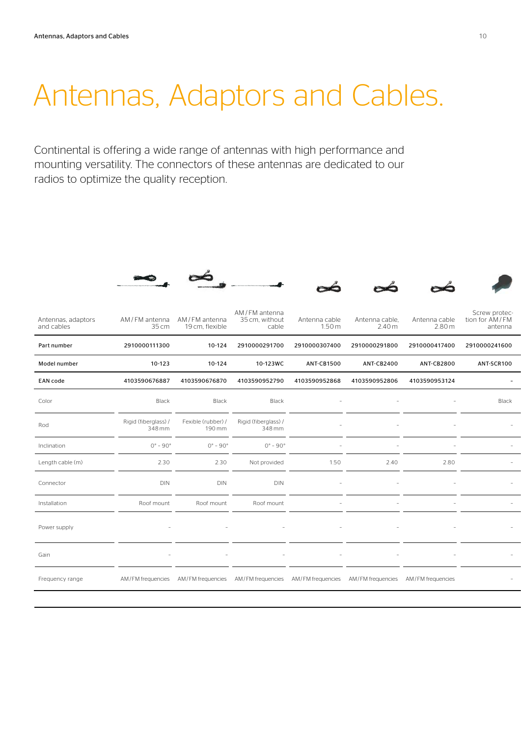# Antennas, Adaptors and Cables.

Continental is offering a wide range of antennas with high performance and mounting versatility. The connectors of these antennas are dedicated to our radios to optimize the quality reception.

|                                  | $-10$                          | $\sim$                             |                                                                                                             | $\infty$               |                                     |                        |                                            |
|----------------------------------|--------------------------------|------------------------------------|-------------------------------------------------------------------------------------------------------------|------------------------|-------------------------------------|------------------------|--------------------------------------------|
| Antennas, adaptors<br>and cables | AM/FM antenna<br>35 cm         | AM / FM antenna<br>19 cm, flexible | AM / FM antenna<br>35 cm, without<br>cable                                                                  | Antenna cable<br>1.50m | Antenna cable,<br>2.40 <sub>m</sub> | Antenna cable<br>2.80m | Screw protec-<br>tion for AM/FM<br>antenna |
| Part number                      | 2910000111300                  | 10-124                             | 2910000291700                                                                                               | 2910000307400          | 2910000291800                       | 2910000417400          | 2910000241600                              |
| Model number                     | 10-123                         | 10-124                             | 10-123WC                                                                                                    | <b>ANT-CB1500</b>      | ANT-CB2400                          | <b>ANT-CB2800</b>      | ANT-SCR100                                 |
| <b>EAN code</b>                  | 4103590676887                  | 4103590676870                      | 4103590952790                                                                                               | 4103590952868          | 4103590952806                       | 4103590953124          | $\sim$                                     |
| Color                            | Black                          | Black                              | Black                                                                                                       |                        |                                     |                        | Black                                      |
| Rod                              | Rigid (fiberglass) /<br>348 mm | 190 mm                             | Fexible (rubber) / Rigid (fiberglass) /<br>348 mm                                                           |                        |                                     | $\sim$                 |                                            |
| Inclination                      | $0^\circ - 90^\circ$           | $0^{\circ}$ - $90^{\circ}$         | $0^\circ - 90^\circ$                                                                                        |                        |                                     |                        |                                            |
| Length cable (m)                 | 2.30                           | 2.30                               | Not provided                                                                                                | 1.50                   | 2.40                                | 2.80                   |                                            |
| Connector                        | <b>DIN</b>                     | <b>DIN</b>                         | <b>DIN</b>                                                                                                  |                        |                                     | $\sim$                 |                                            |
| Installation                     | Roof mount                     | Roof mount                         | Roof mount                                                                                                  |                        |                                     |                        |                                            |
| Power supply                     |                                |                                    |                                                                                                             |                        |                                     |                        |                                            |
| Gain                             |                                |                                    |                                                                                                             |                        |                                     |                        |                                            |
| Frequency range                  |                                |                                    | AM/FM frequencies AM/FM frequencies AM/FM frequencies AM/FM frequencies AM/FM frequencies AM/FM frequencies |                        |                                     |                        |                                            |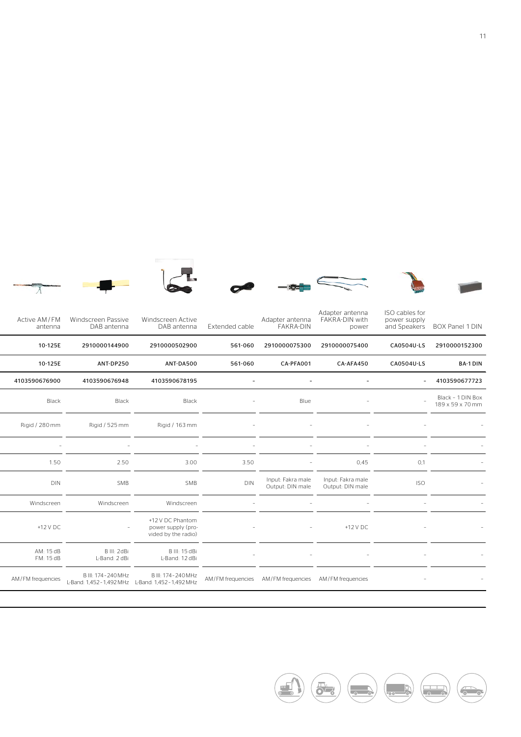

















| ISO cables for<br>Adapter antenna<br>Adapter antenna FAKRA-DIN with<br>power supply<br>and Speakers BOX Panel 1 DIN<br>power | <b>FAKRA-DIN</b>                      |        | Extended cable                                        | Windscreen Active<br>DAB antenna                              | Windscreen Passive<br>DAB antenna                                              | Active AM/FM<br>antenna |
|------------------------------------------------------------------------------------------------------------------------------|---------------------------------------|--------|-------------------------------------------------------|---------------------------------------------------------------|--------------------------------------------------------------------------------|-------------------------|
| 2910000075400<br>CA0504U-LS 2910000152300                                                                                    | 2910000075300                         |        | 561-060                                               | 2910000502900                                                 | 2910000144900                                                                  | 10-125E                 |
| CA-AFA450<br>CA0504U-LS                                                                                                      | CA-PFA001                             |        | 561-060                                               | ANT-DA500                                                     | ANT-DP250                                                                      | 10-125E                 |
| $-4103590677723$                                                                                                             |                                       |        |                                                       | 4103590678195                                                 | 4103590676948                                                                  | 4103590676900           |
| Black - 1 DIN Box<br>$\sim$<br>$-$<br>189 x 59 x 70 mm                                                                       | Blue                                  | $-$    |                                                       | Black                                                         | Black                                                                          | Black                   |
| $\sim$                                                                                                                       | $\sim$                                | $\sim$ |                                                       | Rigid / 163 mm                                                | Rigid / 525 mm                                                                 | Rigid / 280 mm          |
| $\overline{a}$                                                                                                               | $\sim$                                |        | $\overline{\phantom{a}}$                              |                                                               |                                                                                | $\sim$                  |
| 0,45<br>0,1                                                                                                                  | $-$                                   |        | 3.50                                                  | 3.00                                                          | 2.50                                                                           | 1.50                    |
| Input: Fakra male<br><b>ISO</b><br>Output: DIN male                                                                          | Input: Fakra male<br>Output: DIN male |        | $\textsf{D}\textsf{IN}$                               | SMB                                                           | SMB                                                                            | DIN                     |
|                                                                                                                              |                                       |        |                                                       | Windscreen                                                    | Windscreen                                                                     | Windscreen              |
| +12 V DC                                                                                                                     |                                       |        |                                                       | +12 V DC Phantom<br>power supply (pro-<br>vided by the radio) |                                                                                | +12 V DC                |
| $-$                                                                                                                          | $\sim$                                |        |                                                       | B III: 15 dBi<br>L-Band: 12 dBi                               | B III: 2dBi<br>L-Band: 2 dBi                                                   | AM: 15 dB<br>FM: 15 dB  |
|                                                                                                                              |                                       |        | AM/FM frequencies AM/FM frequencies AM/FM frequencies |                                                               | B III: 174 - 240 MHz<br>L-Band: 1,452 - 1,492 MHz<br>L-Band: 1,452 - 1,492 MHz | AM/FM frequencies       |